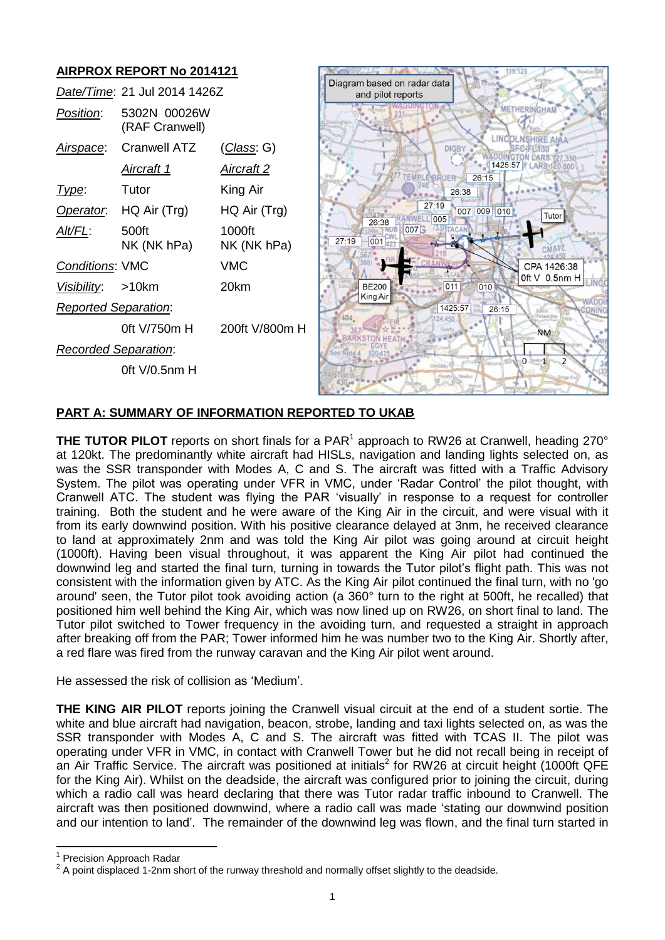

# **PART A: SUMMARY OF INFORMATION REPORTED TO UKAB**

**THE TUTOR PILOT** reports on short finals for a PAR<sup>1</sup> approach to RW26 at Cranwell, heading 270° at 120kt. The predominantly white aircraft had HISLs, navigation and landing lights selected on, as was the SSR transponder with Modes A, C and S. The aircraft was fitted with a Traffic Advisory System. The pilot was operating under VFR in VMC, under 'Radar Control' the pilot thought, with Cranwell ATC. The student was flying the PAR 'visually' in response to a request for controller training. Both the student and he were aware of the King Air in the circuit, and were visual with it from its early downwind position. With his positive clearance delayed at 3nm, he received clearance to land at approximately 2nm and was told the King Air pilot was going around at circuit height (1000ft). Having been visual throughout, it was apparent the King Air pilot had continued the downwind leg and started the final turn, turning in towards the Tutor pilot's flight path. This was not consistent with the information given by ATC. As the King Air pilot continued the final turn, with no 'go around' seen, the Tutor pilot took avoiding action (a 360° turn to the right at 500ft, he recalled) that positioned him well behind the King Air, which was now lined up on RW26, on short final to land. The Tutor pilot switched to Tower frequency in the avoiding turn, and requested a straight in approach after breaking off from the PAR; Tower informed him he was number two to the King Air. Shortly after, a red flare was fired from the runway caravan and the King Air pilot went around.

He assessed the risk of collision as 'Medium'.

**THE KING AIR PILOT** reports joining the Cranwell visual circuit at the end of a student sortie. The white and blue aircraft had navigation, beacon, strobe, landing and taxi lights selected on, as was the SSR transponder with Modes A, C and S. The aircraft was fitted with TCAS II. The pilot was operating under VFR in VMC, in contact with Cranwell Tower but he did not recall being in receipt of an Air Traffic Service. The aircraft was positioned at initials<sup>2</sup> for RW26 at circuit height (1000ft QFE for the King Air). Whilst on the deadside, the aircraft was configured prior to joining the circuit, during which a radio call was heard declaring that there was Tutor radar traffic inbound to Cranwell. The aircraft was then positioned downwind, where a radio call was made 'stating our downwind position and our intention to land'. The remainder of the downwind leg was flown, and the final turn started in

 $\overline{\phantom{a}}$ 

<sup>1</sup> Precision Approach Radar

 $2$  A point displaced 1-2nm short of the runway threshold and normally offset slightly to the deadside.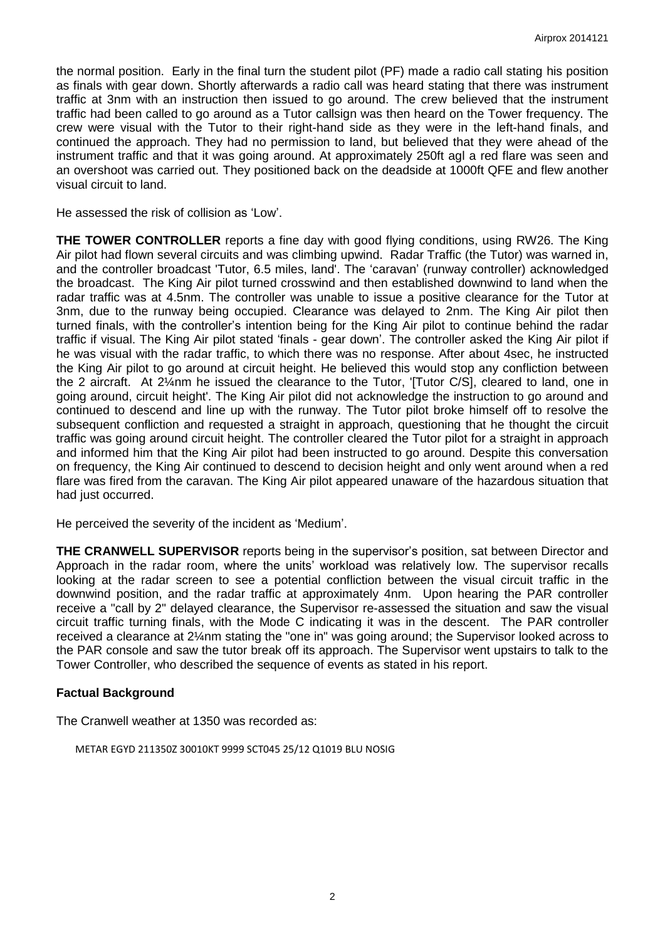the normal position. Early in the final turn the student pilot (PF) made a radio call stating his position as finals with gear down. Shortly afterwards a radio call was heard stating that there was instrument traffic at 3nm with an instruction then issued to go around. The crew believed that the instrument traffic had been called to go around as a Tutor callsign was then heard on the Tower frequency. The crew were visual with the Tutor to their right-hand side as they were in the left-hand finals, and continued the approach. They had no permission to land, but believed that they were ahead of the instrument traffic and that it was going around. At approximately 250ft agl a red flare was seen and an overshoot was carried out. They positioned back on the deadside at 1000ft QFE and flew another visual circuit to land.

He assessed the risk of collision as 'Low'.

**THE TOWER CONTROLLER** reports a fine day with good flying conditions, using RW26. The King Air pilot had flown several circuits and was climbing upwind. Radar Traffic (the Tutor) was warned in, and the controller broadcast 'Tutor, 6.5 miles, land'. The 'caravan' (runway controller) acknowledged the broadcast. The King Air pilot turned crosswind and then established downwind to land when the radar traffic was at 4.5nm. The controller was unable to issue a positive clearance for the Tutor at 3nm, due to the runway being occupied. Clearance was delayed to 2nm. The King Air pilot then turned finals, with the controller's intention being for the King Air pilot to continue behind the radar traffic if visual. The King Air pilot stated 'finals - gear down'. The controller asked the King Air pilot if he was visual with the radar traffic, to which there was no response. After about 4sec, he instructed the King Air pilot to go around at circuit height. He believed this would stop any confliction between the 2 aircraft. At 2¼nm he issued the clearance to the Tutor, '[Tutor C/S], cleared to land, one in going around, circuit height'. The King Air pilot did not acknowledge the instruction to go around and continued to descend and line up with the runway. The Tutor pilot broke himself off to resolve the subsequent confliction and requested a straight in approach, questioning that he thought the circuit traffic was going around circuit height. The controller cleared the Tutor pilot for a straight in approach and informed him that the King Air pilot had been instructed to go around. Despite this conversation on frequency, the King Air continued to descend to decision height and only went around when a red flare was fired from the caravan. The King Air pilot appeared unaware of the hazardous situation that had just occurred.

He perceived the severity of the incident as 'Medium'.

**THE CRANWELL SUPERVISOR** reports being in the supervisor's position, sat between Director and Approach in the radar room, where the units' workload was relatively low. The supervisor recalls looking at the radar screen to see a potential confliction between the visual circuit traffic in the downwind position, and the radar traffic at approximately 4nm. Upon hearing the PAR controller receive a "call by 2" delayed clearance, the Supervisor re-assessed the situation and saw the visual circuit traffic turning finals, with the Mode C indicating it was in the descent. The PAR controller received a clearance at 2¼nm stating the "one in" was going around; the Supervisor looked across to the PAR console and saw the tutor break off its approach. The Supervisor went upstairs to talk to the Tower Controller, who described the sequence of events as stated in his report.

## **Factual Background**

The Cranwell weather at 1350 was recorded as:

```
METAR EGYD 211350Z 30010KT 9999 SCT045 25/12 Q1019 BLU NOSIG
```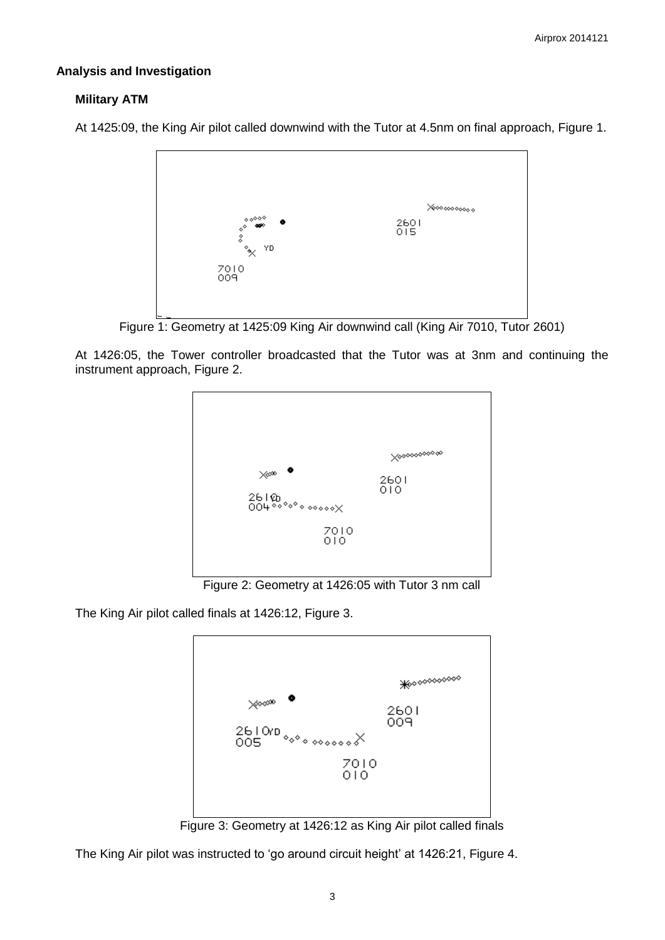### **Analysis and Investigation**

### **Military ATM**

At 1425:09, the King Air pilot called downwind with the Tutor at 4.5nm on final approach, Figure 1.



Figure 1: Geometry at 1425:09 King Air downwind call (King Air 7010, Tutor 2601)

At 1426:05, the Tower controller broadcasted that the Tutor was at 3nm and continuing the instrument approach, Figure 2.



Figure 2: Geometry at 1426:05 with Tutor 3 nm call

The King Air pilot called finals at 1426:12, Figure 3.



Figure 3: Geometry at 1426:12 as King Air pilot called finals

The King Air pilot was instructed to 'go around circuit height' at 1426:21, Figure 4.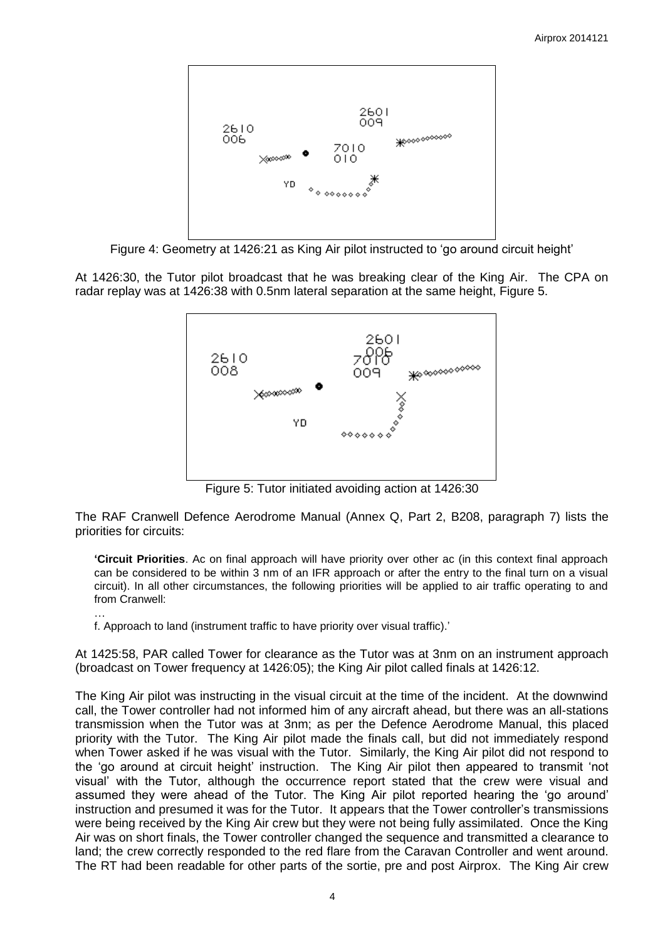

Figure 4: Geometry at 1426:21 as King Air pilot instructed to 'go around circuit height'

At 1426:30, the Tutor pilot broadcast that he was breaking clear of the King Air. The CPA on radar replay was at 1426:38 with 0.5nm lateral separation at the same height, Figure 5.



Figure 5: Tutor initiated avoiding action at 1426:30

The RAF Cranwell Defence Aerodrome Manual (Annex Q, Part 2, B208, paragraph 7) lists the priorities for circuits:

**'Circuit Priorities**. Ac on final approach will have priority over other ac (in this context final approach can be considered to be within 3 nm of an IFR approach or after the entry to the final turn on a visual circuit). In all other circumstances, the following priorities will be applied to air traffic operating to and from Cranwell:

f. Approach to land (instrument traffic to have priority over visual traffic).'

…

At 1425:58, PAR called Tower for clearance as the Tutor was at 3nm on an instrument approach (broadcast on Tower frequency at 1426:05); the King Air pilot called finals at 1426:12.

The King Air pilot was instructing in the visual circuit at the time of the incident. At the downwind call, the Tower controller had not informed him of any aircraft ahead, but there was an all-stations transmission when the Tutor was at 3nm; as per the Defence Aerodrome Manual, this placed priority with the Tutor. The King Air pilot made the finals call, but did not immediately respond when Tower asked if he was visual with the Tutor. Similarly, the King Air pilot did not respond to the 'go around at circuit height' instruction. The King Air pilot then appeared to transmit 'not visual' with the Tutor, although the occurrence report stated that the crew were visual and assumed they were ahead of the Tutor. The King Air pilot reported hearing the 'go around' instruction and presumed it was for the Tutor. It appears that the Tower controller's transmissions were being received by the King Air crew but they were not being fully assimilated. Once the King Air was on short finals, the Tower controller changed the sequence and transmitted a clearance to land; the crew correctly responded to the red flare from the Caravan Controller and went around. The RT had been readable for other parts of the sortie, pre and post Airprox. The King Air crew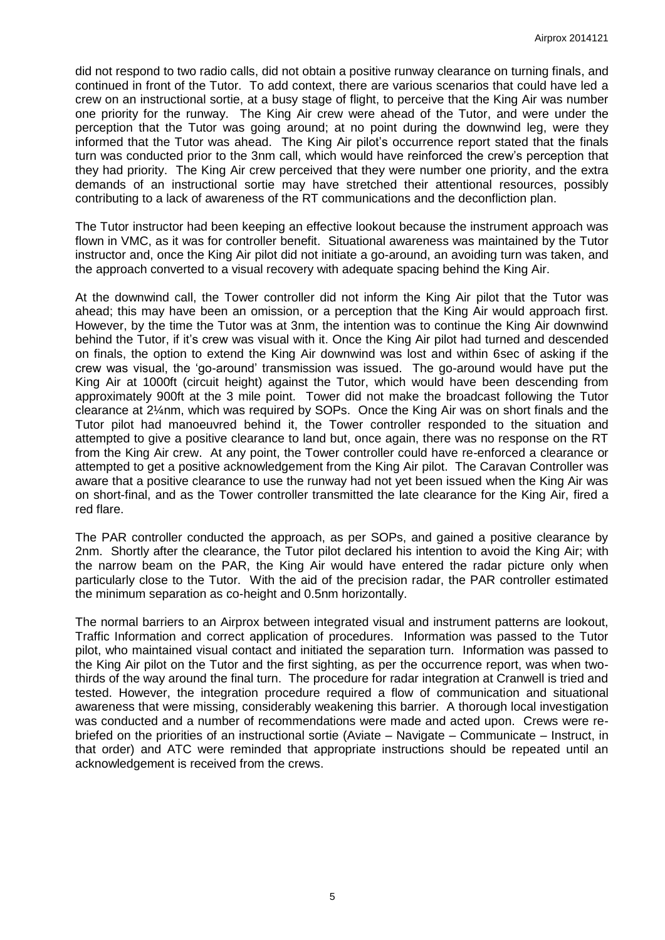did not respond to two radio calls, did not obtain a positive runway clearance on turning finals, and continued in front of the Tutor. To add context, there are various scenarios that could have led a crew on an instructional sortie, at a busy stage of flight, to perceive that the King Air was number one priority for the runway. The King Air crew were ahead of the Tutor, and were under the perception that the Tutor was going around; at no point during the downwind leg, were they informed that the Tutor was ahead. The King Air pilot's occurrence report stated that the finals turn was conducted prior to the 3nm call, which would have reinforced the crew's perception that they had priority. The King Air crew perceived that they were number one priority, and the extra demands of an instructional sortie may have stretched their attentional resources, possibly contributing to a lack of awareness of the RT communications and the deconfliction plan.

The Tutor instructor had been keeping an effective lookout because the instrument approach was flown in VMC, as it was for controller benefit. Situational awareness was maintained by the Tutor instructor and, once the King Air pilot did not initiate a go-around, an avoiding turn was taken, and the approach converted to a visual recovery with adequate spacing behind the King Air.

At the downwind call, the Tower controller did not inform the King Air pilot that the Tutor was ahead; this may have been an omission, or a perception that the King Air would approach first. However, by the time the Tutor was at 3nm, the intention was to continue the King Air downwind behind the Tutor, if it's crew was visual with it. Once the King Air pilot had turned and descended on finals, the option to extend the King Air downwind was lost and within 6sec of asking if the crew was visual, the 'go-around' transmission was issued. The go-around would have put the King Air at 1000ft (circuit height) against the Tutor, which would have been descending from approximately 900ft at the 3 mile point. Tower did not make the broadcast following the Tutor clearance at 2¼nm, which was required by SOPs. Once the King Air was on short finals and the Tutor pilot had manoeuvred behind it, the Tower controller responded to the situation and attempted to give a positive clearance to land but, once again, there was no response on the RT from the King Air crew. At any point, the Tower controller could have re-enforced a clearance or attempted to get a positive acknowledgement from the King Air pilot. The Caravan Controller was aware that a positive clearance to use the runway had not yet been issued when the King Air was on short-final, and as the Tower controller transmitted the late clearance for the King Air, fired a red flare.

The PAR controller conducted the approach, as per SOPs, and gained a positive clearance by 2nm. Shortly after the clearance, the Tutor pilot declared his intention to avoid the King Air; with the narrow beam on the PAR, the King Air would have entered the radar picture only when particularly close to the Tutor. With the aid of the precision radar, the PAR controller estimated the minimum separation as co-height and 0.5nm horizontally.

The normal barriers to an Airprox between integrated visual and instrument patterns are lookout, Traffic Information and correct application of procedures. Information was passed to the Tutor pilot, who maintained visual contact and initiated the separation turn. Information was passed to the King Air pilot on the Tutor and the first sighting, as per the occurrence report, was when twothirds of the way around the final turn. The procedure for radar integration at Cranwell is tried and tested. However, the integration procedure required a flow of communication and situational awareness that were missing, considerably weakening this barrier. A thorough local investigation was conducted and a number of recommendations were made and acted upon. Crews were rebriefed on the priorities of an instructional sortie (Aviate – Navigate – Communicate – Instruct, in that order) and ATC were reminded that appropriate instructions should be repeated until an acknowledgement is received from the crews.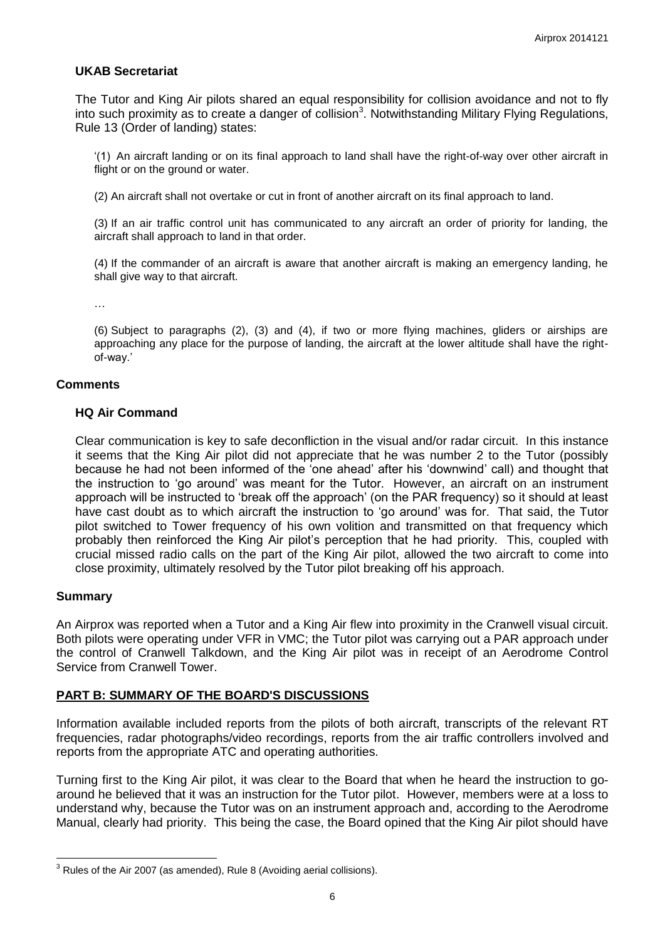### **UKAB Secretariat**

The Tutor and King Air pilots shared an equal responsibility for collision avoidance and not to fly into such proximity as to create a danger of collision<sup>3</sup>. Notwithstanding Military Flying Regulations, Rule 13 (Order of landing) states:

'(1) An aircraft landing or on its final approach to land shall have the right-of-way over other aircraft in flight or on the ground or water.

(2) An aircraft shall not overtake or cut in front of another aircraft on its final approach to land.

(3) If an air traffic control unit has communicated to any aircraft an order of priority for landing, the aircraft shall approach to land in that order.

(4) If the commander of an aircraft is aware that another aircraft is making an emergency landing, he shall give way to that aircraft.

…

(6) Subject to paragraphs (2), (3) and (4), if two or more flying machines, gliders or airships are approaching any place for the purpose of landing, the aircraft at the lower altitude shall have the rightof-way.'

### **Comments**

## **HQ Air Command**

Clear communication is key to safe deconfliction in the visual and/or radar circuit. In this instance it seems that the King Air pilot did not appreciate that he was number 2 to the Tutor (possibly because he had not been informed of the 'one ahead' after his 'downwind' call) and thought that the instruction to 'go around' was meant for the Tutor. However, an aircraft on an instrument approach will be instructed to 'break off the approach' (on the PAR frequency) so it should at least have cast doubt as to which aircraft the instruction to 'go around' was for. That said, the Tutor pilot switched to Tower frequency of his own volition and transmitted on that frequency which probably then reinforced the King Air pilot's perception that he had priority. This, coupled with crucial missed radio calls on the part of the King Air pilot, allowed the two aircraft to come into close proximity, ultimately resolved by the Tutor pilot breaking off his approach.

#### **Summary**

 $\overline{a}$ 

An Airprox was reported when a Tutor and a King Air flew into proximity in the Cranwell visual circuit. Both pilots were operating under VFR in VMC; the Tutor pilot was carrying out a PAR approach under the control of Cranwell Talkdown, and the King Air pilot was in receipt of an Aerodrome Control Service from Cranwell Tower.

## **PART B: SUMMARY OF THE BOARD'S DISCUSSIONS**

Information available included reports from the pilots of both aircraft, transcripts of the relevant RT frequencies, radar photographs/video recordings, reports from the air traffic controllers involved and reports from the appropriate ATC and operating authorities.

Turning first to the King Air pilot, it was clear to the Board that when he heard the instruction to goaround he believed that it was an instruction for the Tutor pilot. However, members were at a loss to understand why, because the Tutor was on an instrument approach and, according to the Aerodrome Manual, clearly had priority. This being the case, the Board opined that the King Air pilot should have

 $3$  Rules of the Air 2007 (as amended), Rule 8 (Avoiding aerial collisions).